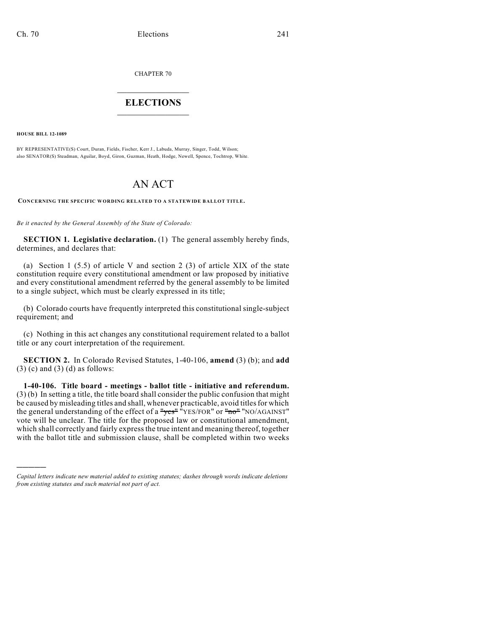CHAPTER 70

## $\mathcal{L}_\text{max}$  . The set of the set of the set of the set of the set of the set of the set of the set of the set of the set of the set of the set of the set of the set of the set of the set of the set of the set of the set **ELECTIONS**  $\_$

**HOUSE BILL 12-1089**

)))))

BY REPRESENTATIVE(S) Court, Duran, Fields, Fischer, Kerr J., Labuda, Murray, Singer, Todd, Wilson; also SENATOR(S) Steadman, Aguilar, Boyd, Giron, Guzman, Heath, Hodge, Newell, Spence, Tochtrop, White.

## AN ACT

**CONCERNING THE SPECIFIC WORDING RELATED TO A STATEWIDE BALLOT TITLE.**

*Be it enacted by the General Assembly of the State of Colorado:*

**SECTION 1. Legislative declaration.** (1) The general assembly hereby finds, determines, and declares that:

(a) Section 1 (5.5) of article V and section 2 (3) of article XIX of the state constitution require every constitutional amendment or law proposed by initiative and every constitutional amendment referred by the general assembly to be limited to a single subject, which must be clearly expressed in its title;

(b) Colorado courts have frequently interpreted this constitutional single-subject requirement; and

(c) Nothing in this act changes any constitutional requirement related to a ballot title or any court interpretation of the requirement.

**SECTION 2.** In Colorado Revised Statutes, 1-40-106, **amend** (3) (b); and **add**  $(3)$  (c) and  $(3)$  (d) as follows:

**1-40-106. Title board - meetings - ballot title - initiative and referendum.** (3) (b) In setting a title, the title board shall consider the public confusion that might be caused by misleading titles and shall, whenever practicable, avoid titles for which the general understanding of the effect of a "yes" "YES/FOR" or "no" "NO/AGAINST" vote will be unclear. The title for the proposed law or constitutional amendment, which shall correctly and fairly express the true intent and meaning thereof, together with the ballot title and submission clause, shall be completed within two weeks

*Capital letters indicate new material added to existing statutes; dashes through words indicate deletions from existing statutes and such material not part of act.*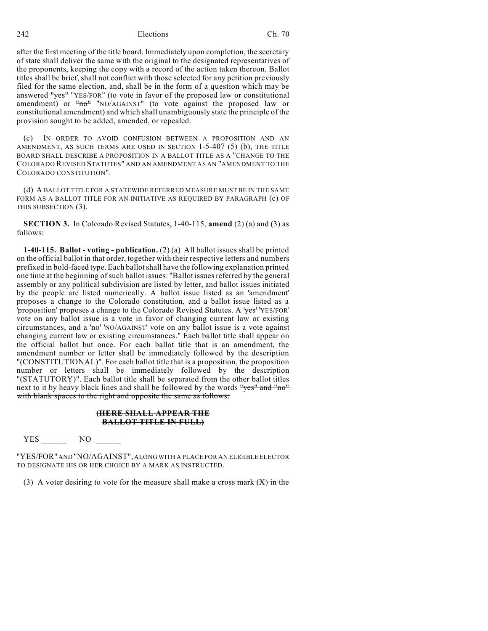242 Elections Ch. 70

after the first meeting of the title board. Immediately upon completion, the secretary of state shall deliver the same with the original to the designated representatives of the proponents, keeping the copy with a record of the action taken thereon. Ballot titles shall be brief, shall not conflict with those selected for any petition previously filed for the same election, and, shall be in the form of a question which may be answered "yes" "YES/FOR" (to vote in favor of the proposed law or constitutional amendment) or "no" "NO/AGAINST" (to vote against the proposed law or constitutional amendment) and which shall unambiguously state the principle of the provision sought to be added, amended, or repealed.

(c) IN ORDER TO AVOID CONFUSION BETWEEN A PROPOSITION AND AN AMENDMENT, AS SUCH TERMS ARE USED IN SECTION 1-5-407 (5) (b), THE TITLE BOARD SHALL DESCRIBE A PROPOSITION IN A BALLOT TITLE AS A "CHANGE TO THE COLORADO REVISED STATUTES" AND AN AMENDMENT AS AN "AMENDMENT TO THE COLORADO CONSTITUTION".

(d) A BALLOT TITLE FOR A STATEWIDE REFERRED MEASURE MUST BE IN THE SAME FORM AS A BALLOT TITLE FOR AN INITIATIVE AS REQUIRED BY PARAGRAPH (c) OF THIS SUBSECTION (3).

**SECTION 3.** In Colorado Revised Statutes, 1-40-115, **amend** (2) (a) and (3) as follows:

**1-40-115. Ballot - voting - publication.** (2) (a) All ballot issues shall be printed on the official ballot in that order, together with their respective letters and numbers prefixed in bold-faced type. Each ballotshall have the following explanation printed one time at the beginning of such ballot issues: "Ballot issues referred by the general assembly or any political subdivision are listed by letter, and ballot issues initiated by the people are listed numerically. A ballot issue listed as an 'amendment' proposes a change to the Colorado constitution, and a ballot issue listed as a 'proposition' proposes a change to the Colorado Revised Statutes. A 'yes' 'YES/FOR' vote on any ballot issue is a vote in favor of changing current law or existing circumstances, and a ' $n\sigma$ ' 'NO/AGAINST' vote on any ballot issue is a vote against changing current law or existing circumstances." Each ballot title shall appear on the official ballot but once. For each ballot title that is an amendment, the amendment number or letter shall be immediately followed by the description "(CONSTITUTIONAL)". For each ballot title that is a proposition, the proposition number or letters shall be immediately followed by the description "(STATUTORY)". Each ballot title shall be separated from the other ballot titles next to it by heavy black lines and shall be followed by the words "yes" and "no" with blank spaces to the right and opposite the same as follows:

## **(HERE SHALL APPEAR THE BALLOT TITLE IN FULL)**

YES \_\_\_\_\_\_ NO \_\_\_\_\_\_

"YES/FOR" AND "NO/AGAINST", ALONG WITH A PLACE FOR AN ELIGIBLE ELECTOR TO DESIGNATE HIS OR HER CHOICE BY A MARK AS INSTRUCTED.

(3) A voter desiring to vote for the measure shall make a cross mark  $(X)$  in the